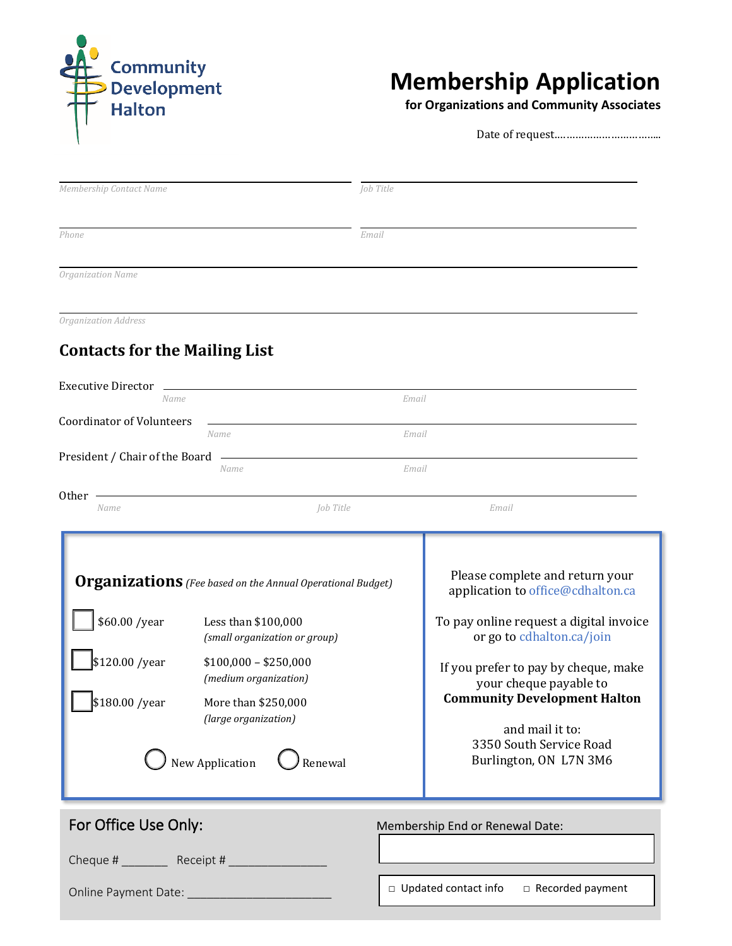

# **Membership Application**

**for Organizations and Community Associates**

Date of request.……………………………..

| Membership Contact Name                                                                                                                                                                                                                                                                                       | Job Title                                                                                                                                                                                                                                                                                                                     |
|---------------------------------------------------------------------------------------------------------------------------------------------------------------------------------------------------------------------------------------------------------------------------------------------------------------|-------------------------------------------------------------------------------------------------------------------------------------------------------------------------------------------------------------------------------------------------------------------------------------------------------------------------------|
|                                                                                                                                                                                                                                                                                                               |                                                                                                                                                                                                                                                                                                                               |
| Phone                                                                                                                                                                                                                                                                                                         | Email                                                                                                                                                                                                                                                                                                                         |
| Organization Name                                                                                                                                                                                                                                                                                             |                                                                                                                                                                                                                                                                                                                               |
|                                                                                                                                                                                                                                                                                                               |                                                                                                                                                                                                                                                                                                                               |
| Organization Address                                                                                                                                                                                                                                                                                          |                                                                                                                                                                                                                                                                                                                               |
| <b>Contacts for the Mailing List</b>                                                                                                                                                                                                                                                                          |                                                                                                                                                                                                                                                                                                                               |
| <b>Executive Director</b>                                                                                                                                                                                                                                                                                     |                                                                                                                                                                                                                                                                                                                               |
| Name                                                                                                                                                                                                                                                                                                          | Email                                                                                                                                                                                                                                                                                                                         |
| <b>Coordinator of Volunteers</b><br>Name                                                                                                                                                                                                                                                                      | Email                                                                                                                                                                                                                                                                                                                         |
| President / Chair of the Board                                                                                                                                                                                                                                                                                |                                                                                                                                                                                                                                                                                                                               |
| Name                                                                                                                                                                                                                                                                                                          | Email                                                                                                                                                                                                                                                                                                                         |
| Other<br>Job Title<br>Name                                                                                                                                                                                                                                                                                    | Email                                                                                                                                                                                                                                                                                                                         |
| <b>Organizations</b> (Fee based on the Annual Operational Budget)<br>\$60.00 /year<br>Less than \$100,000<br>(small organization or group)<br>\$120.00 /year<br>$$100,000 - $250,000$<br>(medium organization)<br>\$180.00 /year<br>More than \$250,000<br>(large organization)<br>New Application<br>Renewal | Please complete and return your<br>application to office@cdhalton.ca<br>To pay online request a digital invoice<br>or go to cdhalton.ca/join<br>If you prefer to pay by cheque, make<br>your cheque payable to<br><b>Community Development Halton</b><br>and mail it to:<br>3350 South Service Road<br>Burlington, ON L7N 3M6 |
| For Office Use Only:<br>Membership End or Renewal Date:                                                                                                                                                                                                                                                       |                                                                                                                                                                                                                                                                                                                               |
|                                                                                                                                                                                                                                                                                                               |                                                                                                                                                                                                                                                                                                                               |
| Online Payment Date: ____________________                                                                                                                                                                                                                                                                     | □ Updated contact info<br>□ Recorded payment                                                                                                                                                                                                                                                                                  |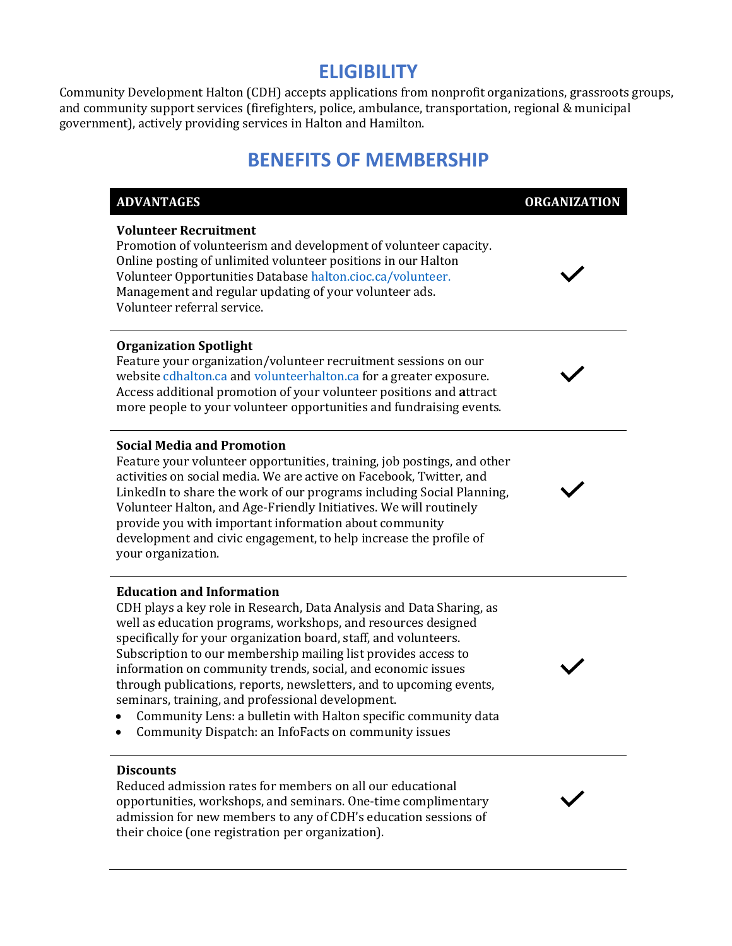# **ELIGIBILITY**

Community Development Halton (CDH) accepts applications from nonprofit organizations, grassroots groups, and community support services (firefighters, police, ambulance, transportation, regional & municipal government), actively providing services in Halton and Hamilton.

# **BENEFITS OF MEMBERSHIP**

## **ADVANTAGES ORGANIZATION Volunteer Recruitment** Promotion of volunteerism and development of volunteer capacity. Online posting of unlimited volunteer positions in our Halton Volunteer Opportunities Databas[e halton.cioc.ca/volunteer.](https://halton.cioc.ca/volunteer) Management and regular updating of your volunteer ads. Volunteer referral service. **Organization Spotlight** Feature your organization/volunteer recruitment sessions on our website [cdhalton.ca](http://cdhalton.ca/) an[d volunteerhalton.ca](http://www.volunteerhalton.ca/) for a greater exposure. Access additional promotion of your volunteer positions and **a**ttract more people to your volunteer opportunities and fundraising events. **Social Media and Promotion** Feature your volunteer opportunities, training, job postings, and other activities on social media. We are active on Facebook, Twitter, and LinkedIn to share the work of our programs including Social Planning, Volunteer Halton, and Age-Friendly Initiatives. We will routinely provide you with important information about community development and civic engagement, to help increase the profile of your organization. **Education and Information** CDH plays a key role in Research, Data Analysis and Data Sharing, as well as education programs, workshops, and resources designed specifically for your organization board, staff, and volunteers. Subscription to our membership mailing list provides access to information on community trends, social, and economic issues through publications, reports, newsletters, and to upcoming events, seminars, training, and professional development.

- Community Lens: a bulletin with Halton specific community data
- Community Dispatch: an InfoFacts on community issues

### **Discounts**

Reduced admission rates for members on all our educational opportunities, workshops, and seminars. One-time complimentary admission for new members to any of CDH's education sessions of their choice (one registration per organization).